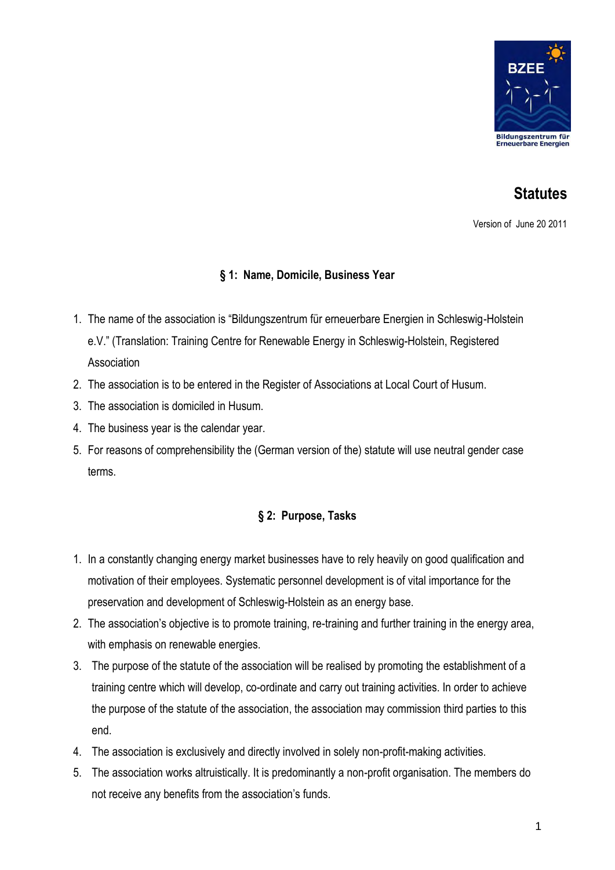

# **Statutes**

Version of June 20 2011

# **§ 1: Name, Domicile, Business Year**

- 1. The name of the association is "Bildungszentrum für erneuerbare Energien in Schleswig-Holstein e.V." (Translation: Training Centre for Renewable Energy in Schleswig-Holstein, Registered Association
- 2. The association is to be entered in the Register of Associations at Local Court of Husum.
- 3. The association is domiciled in Husum.
- 4. The business year is the calendar year.
- 5. For reasons of comprehensibility the (German version of the) statute will use neutral gender case terms.

# **§ 2: Purpose, Tasks**

- 1. In a constantly changing energy market businesses have to rely heavily on good qualification and motivation of their employees. Systematic personnel development is of vital importance for the preservation and development of Schleswig-Holstein as an energy base.
- 2. The association's objective is to promote training, re-training and further training in the energy area, with emphasis on renewable energies.
- 3. The purpose of the statute of the association will be realised by promoting the establishment of a training centre which will develop, co-ordinate and carry out training activities. In order to achieve the purpose of the statute of the association, the association may commission third parties to this end.
- 4. The association is exclusively and directly involved in solely non-profit-making activities.
- 5. The association works altruistically. It is predominantly a non-profit organisation. The members do not receive any benefits from the association's funds.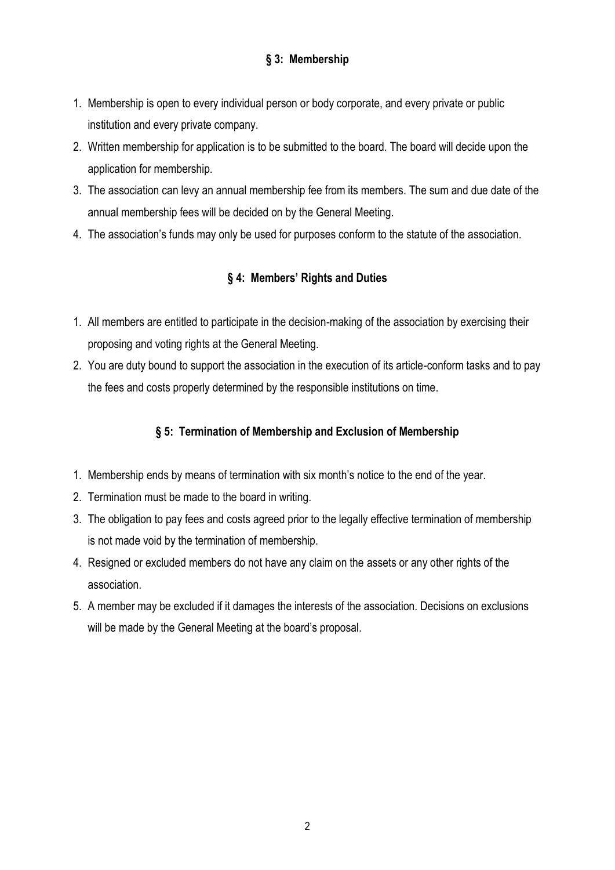# **§ 3: Membership**

- 1. Membership is open to every individual person or body corporate, and every private or public institution and every private company.
- 2. Written membership for application is to be submitted to the board. The board will decide upon the application for membership.
- 3. The association can levy an annual membership fee from its members. The sum and due date of the annual membership fees will be decided on by the General Meeting.
- 4. The association's funds may only be used for purposes conform to the statute of the association.

# **§ 4: Members' Rights and Duties**

- 1. All members are entitled to participate in the decision-making of the association by exercising their proposing and voting rights at the General Meeting.
- 2. You are duty bound to support the association in the execution of its article-conform tasks and to pay the fees and costs properly determined by the responsible institutions on time.

#### **§ 5: Termination of Membership and Exclusion of Membership**

- 1. Membership ends by means of termination with six month's notice to the end of the year.
- 2. Termination must be made to the board in writing.
- 3. The obligation to pay fees and costs agreed prior to the legally effective termination of membership is not made void by the termination of membership.
- 4. Resigned or excluded members do not have any claim on the assets or any other rights of the association.
- 5. A member may be excluded if it damages the interests of the association. Decisions on exclusions will be made by the General Meeting at the board's proposal.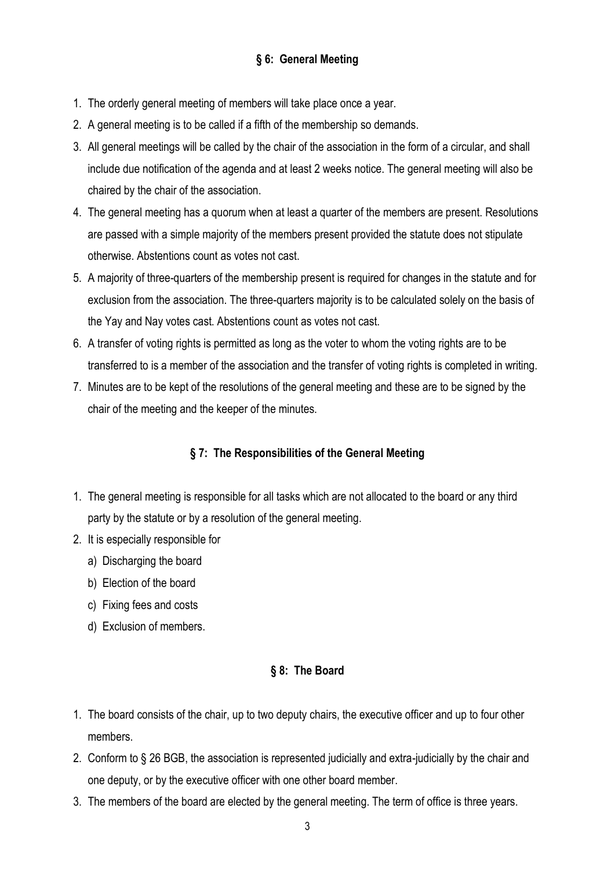- 1. The orderly general meeting of members will take place once a year.
- 2. A general meeting is to be called if a fifth of the membership so demands.
- 3. All general meetings will be called by the chair of the association in the form of a circular, and shall include due notification of the agenda and at least 2 weeks notice. The general meeting will also be chaired by the chair of the association.
- 4. The general meeting has a quorum when at least a quarter of the members are present. Resolutions are passed with a simple majority of the members present provided the statute does not stipulate otherwise. Abstentions count as votes not cast.
- 5. A majority of three-quarters of the membership present is required for changes in the statute and for exclusion from the association. The three-quarters majority is to be calculated solely on the basis of the Yay and Nay votes cast. Abstentions count as votes not cast.
- 6. A transfer of voting rights is permitted as long as the voter to whom the voting rights are to be transferred to is a member of the association and the transfer of voting rights is completed in writing.
- 7. Minutes are to be kept of the resolutions of the general meeting and these are to be signed by the chair of the meeting and the keeper of the minutes.

# **§ 7: The Responsibilities of the General Meeting**

- 1. The general meeting is responsible for all tasks which are not allocated to the board or any third party by the statute or by a resolution of the general meeting.
- 2. It is especially responsible for
	- a) Discharging the board
	- b) Election of the board
	- c) Fixing fees and costs
	- d) Exclusion of members.

# **§ 8: The Board**

- 1. The board consists of the chair, up to two deputy chairs, the executive officer and up to four other members.
- 2. Conform to § 26 BGB, the association is represented judicially and extra-judicially by the chair and one deputy, or by the executive officer with one other board member.
- 3. The members of the board are elected by the general meeting. The term of office is three years.